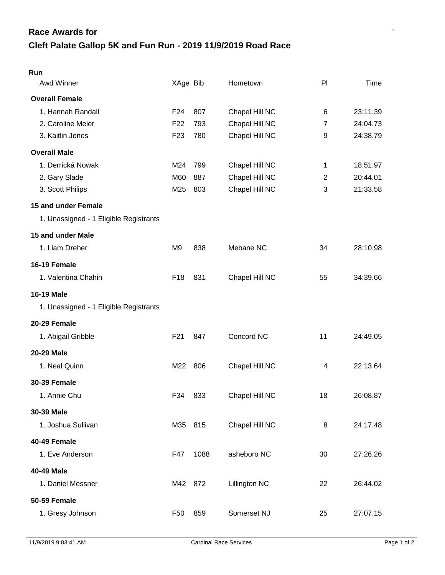## **Cleft Palate Gallop 5K and Fun Run - 2019 11/9/2019 Road Race Race Awards for**

| Run                                    |                 |      |                |                |          |
|----------------------------------------|-----------------|------|----------------|----------------|----------|
| Awd Winner                             | XAge Bib        |      | Hometown       | PI             | Time     |
| <b>Overall Female</b>                  |                 |      |                |                |          |
| 1. Hannah Randall                      | F <sub>24</sub> | 807  | Chapel Hill NC | 6              | 23:11.39 |
| 2. Caroline Meier                      | F <sub>22</sub> | 793  | Chapel Hill NC | $\overline{7}$ | 24:04.73 |
| 3. Kaitlin Jones                       | F <sub>23</sub> | 780  | Chapel Hill NC | 9              | 24:38.79 |
| <b>Overall Male</b>                    |                 |      |                |                |          |
| 1. Derrická Nowak                      | M24             | 799  | Chapel Hill NC | 1              | 18:51.97 |
| 2. Gary Slade                          | M60             | 887  | Chapel Hill NC | 2              | 20:44.01 |
| 3. Scott Philips                       | M25             | 803  | Chapel Hill NC | 3              | 21:33.58 |
| 15 and under Female                    |                 |      |                |                |          |
| 1. Unassigned - 1 Eligible Registrants |                 |      |                |                |          |
| 15 and under Male                      |                 |      |                |                |          |
| 1. Liam Dreher                         | M <sub>9</sub>  | 838  | Mebane NC      | 34             | 28:10.98 |
| 16-19 Female                           |                 |      |                |                |          |
| 1. Valentina Chahin                    | F <sub>18</sub> | 831  | Chapel Hill NC | 55             | 34:39.66 |
| <b>16-19 Male</b>                      |                 |      |                |                |          |
| 1. Unassigned - 1 Eligible Registrants |                 |      |                |                |          |
| 20-29 Female                           |                 |      |                |                |          |
| 1. Abigail Gribble                     | F21             | 847  | Concord NC     | 11             | 24:49.05 |
| 20-29 Male                             |                 |      |                |                |          |
| 1. Neal Quinn                          | M22             | 806  | Chapel Hill NC | 4              | 22:13.64 |
| <b>30-39 Female</b>                    |                 |      |                |                |          |
| 1. Annie Chu                           | F34             | 833  | Chapel Hill NC | 18             | 26:08.87 |
| 30-39 Male                             |                 |      |                |                |          |
| 1. Joshua Sullivan                     | M35             | 815  | Chapel Hill NC | 8              | 24:17.48 |
| 40-49 Female                           |                 |      |                |                |          |
| 1. Eve Anderson                        | F47             | 1088 | asheboro NC    | 30             | 27:26.26 |
| 40-49 Male                             |                 |      |                |                |          |
| 1. Daniel Messner                      | M42             | 872  | Lillington NC  | 22             | 26:44.02 |
| <b>50-59 Female</b>                    |                 |      |                |                |          |
| 1. Gresy Johnson                       | F <sub>50</sub> | 859  | Somerset NJ    | 25             | 27:07.15 |
|                                        |                 |      |                |                |          |